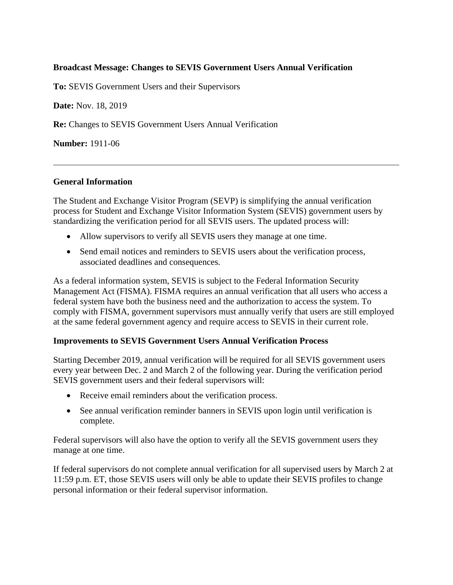### **Broadcast Message: Changes to SEVIS Government Users Annual Verification**

**To:** SEVIS Government Users and their Supervisors

**Date:** Nov. 18, 2019

**Re:** Changes to SEVIS Government Users Annual Verification

**Number:** 1911-06

#### **General Information**

The Student and Exchange Visitor Program (SEVP) is simplifying the annual verification process for Student and Exchange Visitor Information System (SEVIS) government users by standardizing the verification period for all SEVIS users. The updated process will:

- Allow supervisors to verify all SEVIS users they manage at one time.
- Send email notices and reminders to SEVIS users about the verification process, associated deadlines and consequences.

As a federal information system, SEVIS is subject to the Federal Information Security Management Act (FISMA). FISMA requires an annual verification that all users who access a federal system have both the business need and the authorization to access the system. To comply with FISMA, government supervisors must annually verify that users are still employed at the same federal government agency and require access to SEVIS in their current role.

#### **Improvements to SEVIS Government Users Annual Verification Process**

Starting December 2019, annual verification will be required for all SEVIS government users every year between Dec. 2 and March 2 of the following year. During the verification period SEVIS government users and their federal supervisors will:

- Receive email reminders about the verification process.
- See annual verification reminder banners in SEVIS upon login until verification is complete.

Federal supervisors will also have the option to verify all the SEVIS government users they manage at one time.

If federal supervisors do not complete annual verification for all supervised users by March 2 at 11:59 p.m. ET, those SEVIS users will only be able to update their SEVIS profiles to change personal information or their federal supervisor information.